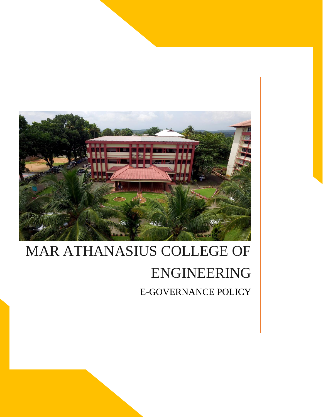

# MAR ATHANASIUS COLLEGE OF ENGINEERING E-GOVERNANCE POLICY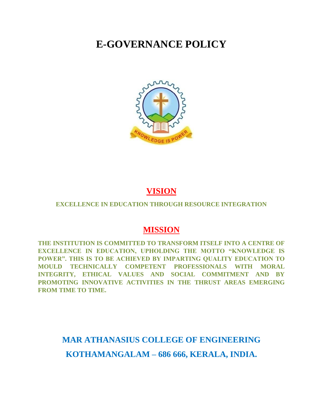## **E-GOVERNANCE POLICY**



## **VISION**

#### **EXCELLENCE IN EDUCATION THROUGH RESOURCE INTEGRATION**

### **MISSION**

**THE INSTITUTION IS COMMITTED TO TRANSFORM ITSELF INTO A CENTRE OF EXCELLENCE IN EDUCATION, UPHOLDING THE MOTTO "KNOWLEDGE IS POWER". THIS IS TO BE ACHIEVED BY IMPARTING QUALITY EDUCATION TO MOULD TECHNICALLY COMPETENT PROFESSIONALS WITH MORAL INTEGRITY, ETHICAL VALUES AND SOCIAL COMMITMENT AND BY PROMOTING INNOVATIVE ACTIVITIES IN THE THRUST AREAS EMERGING FROM TIME TO TIME.**

**MAR ATHANASIUS COLLEGE OF ENGINEERING KOTHAMANGALAM – 686 666, KERALA, INDIA.**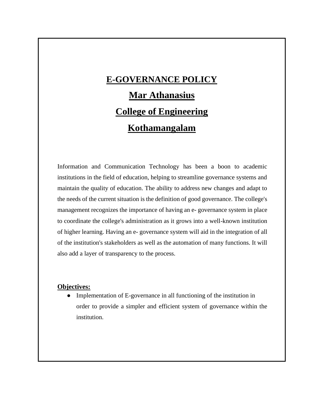## **E-GOVERNANCE POLICY**

## **Mar Athanasius College of Engineering Kothamangalam**

Information and Communication Technology has been a boon to academic institutions in the field of education, helping to streamline governance systems and maintain the quality of education. The ability to address new changes and adapt to the needs of the current situation is the definition of good governance. The college's management recognizes the importance of having an e- governance system in place to coordinate the college's administration as it grows into a well-known institution of higher learning. Having an e- governance system will aid in the integration of all of the institution's stakeholders as well as the automation of many functions. It will also add a layer of transparency to the process.

#### **Objectives:**

• Implementation of E-governance in all functioning of the institution in order to provide a simpler and efficient system of governance within the institution.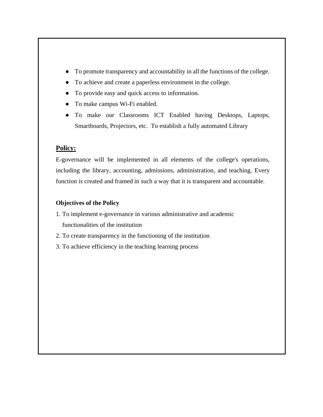- To promote transparency and accountability in all the functions of the college.
- To achieve and create a paperless environment in the college.
- To provide easy and quick access to information.
- To make campus Wi-Fi enabled.
- To make our Classrooms ICT Enabled having Desktops, Laptops, Smartboards, Projectors, etc. To establish a fully automated Library

#### **Policy:**

E-governance will be implemented in all elements of the college's operations, including the library, accounting, admissions, administration, and teaching. Every function is created and framed in such a way that it is transparent and accountable.

#### **Objectives of the Policy**

- 1. To implement e-governance in various administrative and academic functionalities of the institution
- 2. To create transparency in the functioning of the institution
- 3. To achieve efficiency in the teaching learning process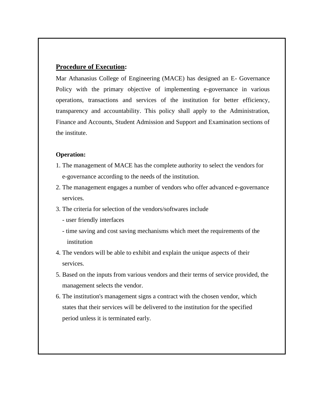#### **Procedure of Execution:**

Mar Athanasius College of Engineering (MACE) has designed an E- Governance Policy with the primary objective of implementing e-governance in various operations, transactions and services of the institution for better efficiency, transparency and accountability. This policy shall apply to the Administration, Finance and Accounts, Student Admission and Support and Examination sections of the institute.

#### **Operation:**

- 1. The management of MACE has the complete authority to select the vendors for e-governance according to the needs of the institution.
- 2. The management engages a number of vendors who offer advanced e-governance services.
- 3. The criteria for selection of the vendors/softwares include
	- user friendly interfaces
	- time saving and cost saving mechanisms which meet the requirements of the institution
- 4. The vendors will be able to exhibit and explain the unique aspects of their services.
- 5. Based on the inputs from various vendors and their terms of service provided, the management selects the vendor.
- 6. The institution's management signs a contract with the chosen vendor, which states that their services will be delivered to the institution for the specified period unless it is terminated early.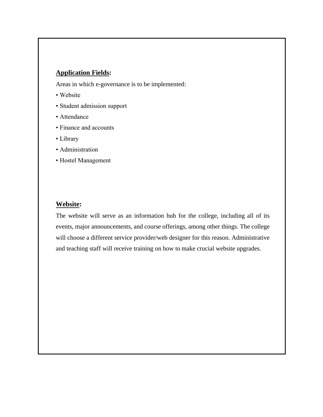#### **Application Fields:**

Areas in which e-governance is to be implemented:

- Website
- Student admission support
- Attendance
- Finance and accounts
- Library
- Administration
- Hostel Management

#### **Website:**

The website will serve as an information hub for the college, including all of its events, major announcements, and course offerings, among other things. The college will choose a different service provider/web designer for this reason. Administrative and teaching staff will receive training on how to make crucial website upgrades.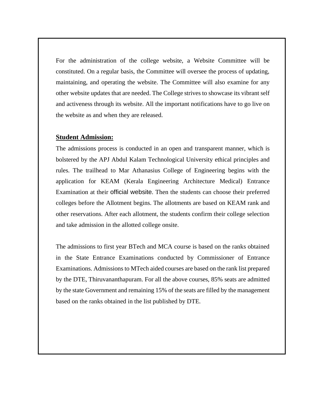For the administration of the college website, a Website Committee will be constituted. On a regular basis, the Committee will oversee the process of updating, maintaining, and operating the website. The Committee will also examine for any other website updates that are needed. The College strives to showcase its vibrant self and activeness through its website. All the important notifications have to go live on the website as and when they are released.

#### **Student Admission:**

The admissions process is conducted in an open and transparent manner, which is bolstered by the APJ Abdul Kalam Technological University ethical principles and rules. The trailhead to Mar Athanasius College of Engineering begins with the application for KEAM (Kerala Engineering Architecture Medical) Entrance Examination at their [official website](https://www.cee.kerala.gov.in/keam2021/). Then the students can choose their preferred colleges before the Allotment begins. The allotments are based on KEAM rank and other reservations. After each allotment, the students confirm their college selection and take admission in the allotted college onsite.

The admissions to first year BTech and MCA course is based on the ranks obtained in the State Entrance Examinations conducted by Commissioner of Entrance Examinations. Admissions to MTech aided courses are based on the rank list prepared by the DTE, Thiruvananthapuram. For all the above courses, 85% seats are admitted by the state Government and remaining 15% of the seats are filled by the management based on the ranks obtained in the list published by DTE.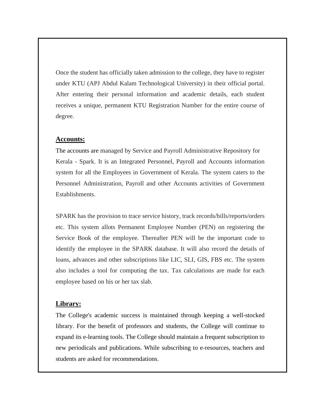Once the student has officially taken admission to the college, they have to register under KTU (APJ Abdul Kalam Technological University) in their [official portal.](https://app.ktu.edu.in/) After entering their personal information and academic details, each student receives a unique, permanent KTU Registration Number for the entire course of degree.

#### **Accounts:**

The accounts are managed by [Service and Payroll Administrative Repository for](https://www.spark.gov.in/webspark/)  [Kerala -](https://www.spark.gov.in/webspark/) Spark. It is an Integrated Personnel, Payroll and Accounts information system for all the Employees in Government of Kerala. The system caters to the Personnel Administration, Payroll and other Accounts activities of Government Establishments.

SPARK has the provision to trace service history, track records/bills/reports/orders etc. This system allots Permanent Employee Number (PEN) on registering the Service Book of the employee. Thereafter PEN will be the important code to identify the employee in the SPARK database. It will also record the details of loans, advances and other subscriptions like LIC, SLI, GIS, FBS etc. The system also includes a tool for computing the tax. Tax calculations are made for each employee based on his or her tax slab.

#### **Library:**

The College's academic success is maintained through keeping a well-stocked library. For the benefit of professors and students, the College will continue to expand its e-learning tools. The College should maintain a frequent subscription to new periodicals and publications. While subscribing to e-resources, teachers and students are asked for recommendations.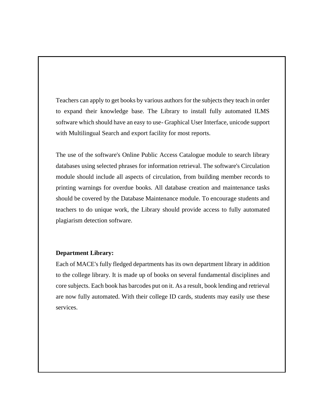Teachers can apply to get books by various authors for the subjects they teach in order to expand their knowledge base. The Library to install fully automated ILMS software which should have an easy to use- Graphical User Interface, unicode support with Multilingual Search and export facility for most reports.

The use of the software's Online Public Access Catalogue module to search library databases using selected phrases for information retrieval. The software's Circulation module should include all aspects of circulation, from building member records to printing warnings for overdue books. All database creation and maintenance tasks should be covered by the Database Maintenance module. To encourage students and teachers to do unique work, the Library should provide access to fully automated plagiarism detection software.

#### **Department Library:**

Each of MACE's fully fledged departments has its own department library in addition to the college library. It is made up of books on several fundamental disciplines and core subjects. Each book has barcodes put on it. As a result, book lending and retrieval are now fully automated. With their college ID cards, students may easily use these services.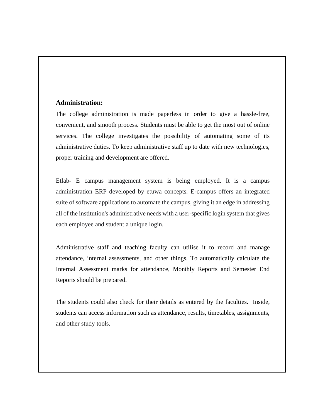#### **Administration:**

The college administration is made paperless in order to give a hassle-free, convenient, and smooth process. Students must be able to get the most out of online services. The college investigates the possibility of automating some of its administrative duties. To keep administrative staff up to date with new technologies, proper training and development are offered.

Etlab- E campus management system is being employed. It is a campus administration ERP developed by etuwa concepts. E-campus offers an integrated suite of software applications to automate the campus, giving it an edge in addressing all of the institution's administrative needs with a user-specific login system that gives each employee and student a unique login.

Administrative staff and teaching faculty can utilise it to record and manage attendance, internal assessments, and other things. To automatically calculate the Internal Assessment marks for attendance, Monthly Reports and Semester End Reports should be prepared.

The students could also check for their details as entered by the faculties. Inside, students can access information such as attendance, results, timetables, assignments, and other study tools.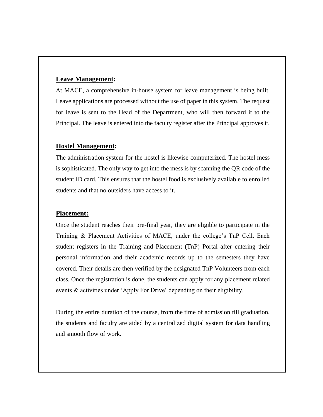#### **Leave Management:**

At MACE, a comprehensive in-house system for leave management is being built. Leave applications are processed without the use of paper in this system. The request for leave is sent to the Head of the Department, who will then forward it to the Principal. The leave is entered into the faculty register after the Principal approves it.

#### **Hostel Management:**

The administration system for the hostel is likewise computerized. The hostel mess is sophisticated. The only way to get into the mess is by scanning the QR code of the student ID card. This ensures that the hostel food is exclusively available to enrolled students and that no outsiders have access to it.

#### **Placement:**

Once the student reaches their pre-final year, they are eligible to participate in the Training & Placement Activities of MACE, under the college's TnP Cell. Each student registers in the [Training and Placement](https://tnpmace.com/) (TnP) Portal after entering their personal information and their academic records up to the semesters they have covered. Their details are then verified by the designated TnP Volunteers from each class. Once the registration is done, the students can apply for any placement related events & activities under 'Apply For Drive' depending on their eligibility.

During the entire duration of the course, from the time of admission till graduation, the students and faculty are aided by a centralized digital system for data handling and smooth flow of work.